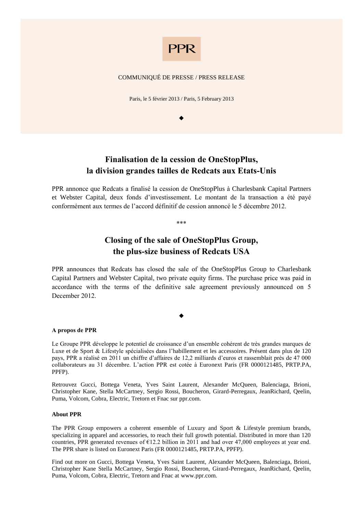

#### COMMUNIQUÉ DE PRESSE / PRESS RELEASE

Paris, le 5 février 2013 / Paris, 5 February 2013

 $\blacklozenge$ 

## **Finalisation de la cession de OneStopPlus, la division grandes tailles de Redcats aux Etats-Unis**

PPR annonce que Redcats a finalisé la cession de OneStopPlus à Charlesbank Capital Partners et Webster Capital, deux fonds d'investissement. Le montant de la transaction a été payé conformément aux termes de l'accord définitif de cession annoncé le 5 décembre 2012.

\*\*\*

# **Closing of the sale of OneStopPlus Group, the plus-size business of Redcats USA**

PPR announces that Redcats has closed the sale of the OneStopPlus Group to Charlesbank Capital Partners and Webster Capital, two private equity firms. The purchase price was paid in accordance with the terms of the definitive sale agreement previously announced on 5 December 2012.

 $\blacklozenge$ 

#### **A propos de PPR**

Le Groupe PPR développe le potentiel de croissance d'un ensemble cohérent de très grandes marques de Luxe et de Sport & Lifestyle spécialisées dans l'habillement et les accessoires. Présent dans plus de 120 pays, PPR a réalisé en 2011 un chiffre d'affaires de 12,2 milliards d'euros et rassemblait près de 47 000 collaborateurs au 31 décembre. L'action PPR est cotée à Euronext Paris (FR 0000121485, PRTP.PA, PPFP).

Retrouvez Gucci, Bottega Veneta, Yves Saint Laurent, Alexander McQueen, Balenciaga, Brioni, Christopher Kane, Stella McCartney, Sergio Rossi, Boucheron, Girard-Perregaux, JeanRichard, Qeelin, Puma, Volcom, Cobra, Electric, Tretorn et Fnac sur ppr.com.

#### **About PPR**

The PPR Group empowers a coherent ensemble of Luxury and Sport & Lifestyle premium brands, specializing in apparel and accessories, to reach their full growth potential. Distributed in more than 120 countries, PPR generated revenues of  $E12.2$  billion in 2011 and had over 47,000 employees at year end. The PPR share is listed on Euronext Paris (FR 0000121485, PRTP.PA, PPFP).

Find out more on Gucci, Bottega Veneta, Yves Saint Laurent, Alexander McQueen, Balenciaga, Brioni, Christopher Kane Stella McCartney, Sergio Rossi, Boucheron, Girard-Perregaux, JeanRichard, Qeelin, Puma, Volcom, Cobra, Electric, Tretorn and Fnac at [www.ppr.com.](http://www.ppr.com/)